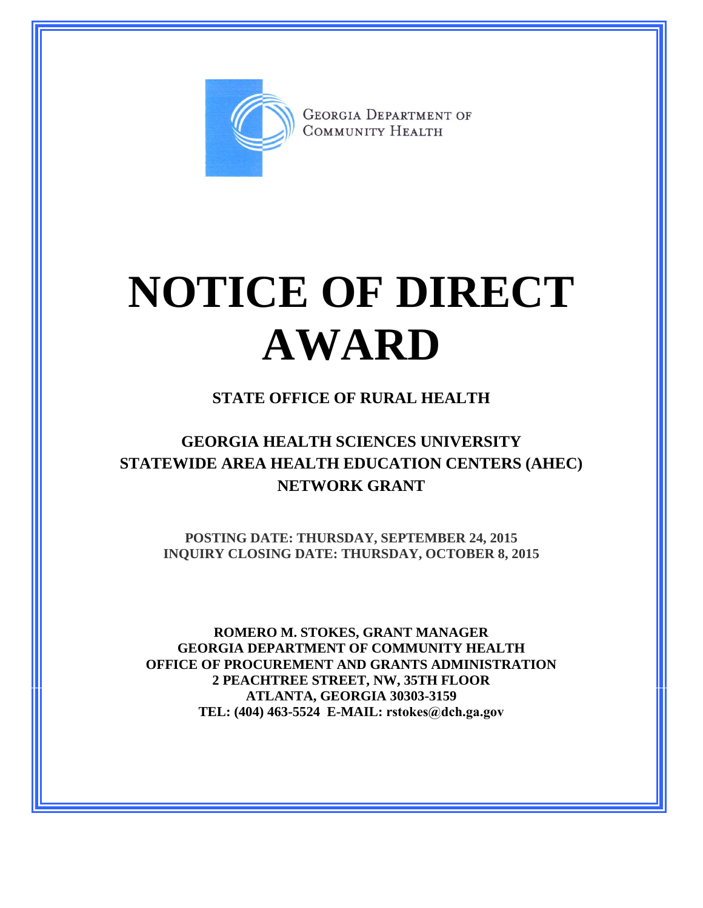

**GEORGIA DEPARTMENT OF** COMMUNITY HEALTH

# **NOTICE OF DIRECT AWARD**

### **STATE OFFICE OF RURAL HEALTH**

## **GEORGIA HEALTH SCIENCES UNIVERSITY STATEWIDE AREA HEALTH EDUCATION CENTERS (AHEC) NETWORK GRANT**

**POSTING DATE: THURSDAY, SEPTEMBER 24, 2015 INQUIRY CLOSING DATE: THURSDAY, OCTOBER 8, 2015**

**ROMERO M. STOKES, GRANT MANAGER GEORGIA DEPARTMENT OF COMMUNITY HEALTH OFFICE OF PROCUREMENT AND GRANTS ADMINISTRATION 2 PEACHTREE STREET, NW, 35TH FLOOR ATLANTA, GEORGIA 30303-3159 TEL: (404) 463-5524 E-MAIL: rstokes@dch.ga.gov**